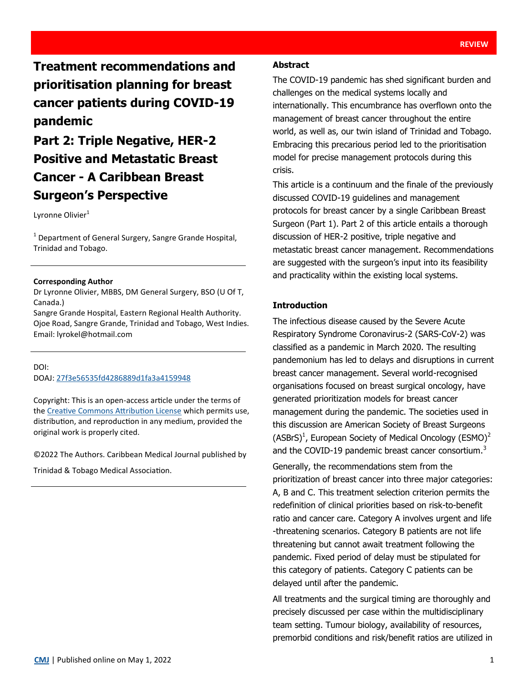**Treatment recommendations and prioritisation planning for breast cancer patients during COVID-19 pandemic**

# **Part 2: Triple Negative, HER-2 Positive and Metastatic Breast Cancer - A Caribbean Breast Surgeon's Perspective**

Lyronne Olivier<sup>1</sup>

<sup>1</sup> Department of General Surgery, Sangre Grande Hospital, Trinidad and Tobago.

#### **Corresponding Author**

Dr Lyronne Olivier, MBBS, DM General Surgery, BSO (U Of T, Canada.)

Sangre Grande Hospital, Eastern Regional Health Authority. Ojoe Road, Sangre Grande, Trinidad and Tobago, West Indies. Email: lyrokel@hotmail.com

#### DOI:

DOAJ: [27f3e56535fd4286889d1fa3a4159948](https://doaj.org/article/27f3e56535fd4286889d1fa3a4159948)

Copyright: This is an open-access article under the terms of the [Creative Commons Attribution License](https://creativecommons.org/licenses/by/4.0/) which permits use, distribution, and reproduction in any medium, provided the original work is properly cited.

©2022 The Authors. Caribbean Medical Journal published by

Trinidad & Tobago Medical Association.

## **Abstract**

The COVID-19 pandemic has shed significant burden and challenges on the medical systems locally and internationally. This encumbrance has overflown onto the management of breast cancer throughout the entire world, as well as, our twin island of Trinidad and Tobago. Embracing this precarious period led to the prioritisation model for precise management protocols during this crisis.

This article is a continuum and the finale of the previously discussed COVID-19 guidelines and management protocols for breast cancer by a single Caribbean Breast Surgeon (Part 1). Part 2 of this article entails a thorough discussion of HER-2 positive, triple negative and metastatic breast cancer management. Recommendations are suggested with the surgeon's input into its feasibility and practicality within the existing local systems.

## **Introduction**

The infectious disease caused by the Severe Acute Respiratory Syndrome Coronavirus-2 (SARS-CoV-2) was classified as a pandemic in March 2020. The resulting pandemonium has led to delays and disruptions in current breast cancer management. Several world-recognised organisations focused on breast surgical oncology, have generated prioritization models for breast cancer management during the pandemic. The societies used in this discussion are American Society of Breast Surgeons (ASBrS)<sup>1</sup>, European Society of Medical Oncology (ESMO)<sup>2</sup> and the COVID-19 pandemic breast cancer consortium.<sup>3</sup>

Generally, the recommendations stem from the prioritization of breast cancer into three major categories: A, B and C. This treatment selection criterion permits the redefinition of clinical priorities based on risk-to-benefit ratio and cancer care. Category A involves urgent and life -threatening scenarios. Category B patients are not life threatening but cannot await treatment following the pandemic. Fixed period of delay must be stipulated for this category of patients. Category C patients can be delayed until after the pandemic.

All treatments and the surgical timing are thoroughly and precisely discussed per case within the multidisciplinary team setting. Tumour biology, availability of resources, premorbid conditions and risk/benefit ratios are utilized in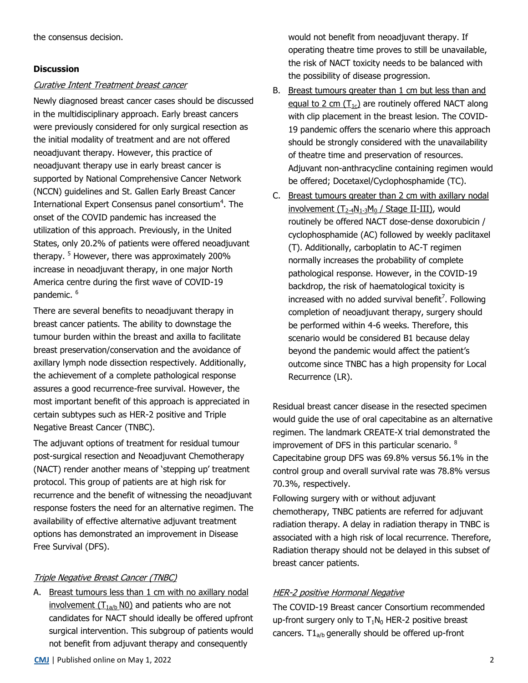## **Discussion**

## Curative Intent Treatment breast cancer

Newly diagnosed breast cancer cases should be discussed in the multidisciplinary approach. Early breast cancers were previously considered for only surgical resection as the initial modality of treatment and are not offered neoadjuvant therapy. However, this practice of neoadjuvant therapy use in early breast cancer is supported by National Comprehensive Cancer Network (NCCN) guidelines and St. Gallen Early Breast Cancer International Expert Consensus panel consortium<sup>4</sup>. The onset of the COVID pandemic has increased the utilization of this approach. Previously, in the United States, only 20.2% of patients were offered neoadjuvant therapy. <sup>5</sup> However, there was approximately 200% increase in neoadjuvant therapy, in one major North America centre during the first wave of COVID-19 pandemic.<sup>6</sup>

There are several benefits to neoadjuvant therapy in breast cancer patients. The ability to downstage the tumour burden within the breast and axilla to facilitate breast preservation/conservation and the avoidance of axillary lymph node dissection respectively. Additionally, the achievement of a complete pathological response assures a good recurrence-free survival. However, the most important benefit of this approach is appreciated in certain subtypes such as HER-2 positive and Triple Negative Breast Cancer (TNBC).

The adjuvant options of treatment for residual tumour post-surgical resection and Neoadjuvant Chemotherapy (NACT) render another means of 'stepping up' treatment protocol. This group of patients are at high risk for recurrence and the benefit of witnessing the neoadjuvant response fosters the need for an alternative regimen. The availability of effective alternative adjuvant treatment options has demonstrated an improvement in Disease Free Survival (DFS).

## Triple Negative Breast Cancer (TNBC)

A. Breast tumours less than 1 cm with no axillary nodal involvement  $(T<sub>1a/b</sub>$  N0) and patients who are not candidates for NACT should ideally be offered upfront surgical intervention. This subgroup of patients would not benefit from adjuvant therapy and consequently

would not benefit from neoadjuvant therapy. If operating theatre time proves to still be unavailable, the risk of NACT toxicity needs to be balanced with the possibility of disease progression.

- B. Breast tumours greater than 1 cm but less than and equal to 2 cm  $(T_{1c})$  are routinely offered NACT along with clip placement in the breast lesion. The COVID-19 pandemic offers the scenario where this approach should be strongly considered with the unavailability of theatre time and preservation of resources. Adjuvant non-anthracycline containing regimen would be offered; Docetaxel/Cyclophosphamide (TC).
- C. Breast tumours greater than 2 cm with axillary nodal involvement  $(T_{2-4}N_{1-3}M_0/$  Stage II-III), would routinely be offered NACT dose-dense doxorubicin / cyclophosphamide (AC) followed by weekly paclitaxel (T). Additionally, carboplatin to AC-T regimen normally increases the probability of complete pathological response. However, in the COVID-19 backdrop, the risk of haematological toxicity is increased with no added survival benefit<sup>7</sup>. Following completion of neoadjuvant therapy, surgery should be performed within 4-6 weeks. Therefore, this scenario would be considered B1 because delay beyond the pandemic would affect the patient's outcome since TNBC has a high propensity for Local Recurrence (LR).

Residual breast cancer disease in the resected specimen would guide the use of oral capecitabine as an alternative regimen. The landmark CREATE-X trial demonstrated the improvement of DFS in this particular scenario. <sup>8</sup> Capecitabine group DFS was 69.8% versus 56.1% in the control group and overall survival rate was 78.8% versus 70.3%, respectively.

Following surgery with or without adjuvant chemotherapy, TNBC patients are referred for adjuvant radiation therapy. A delay in radiation therapy in TNBC is associated with a high risk of local recurrence. Therefore, Radiation therapy should not be delayed in this subset of breast cancer patients.

# HER-2 positive Hormonal Negative

The COVID-19 Breast cancer Consortium recommended up-front surgery only to  $T_1N_0$  HER-2 positive breast cancers.  $T1_{a/b}$  generally should be offered up-front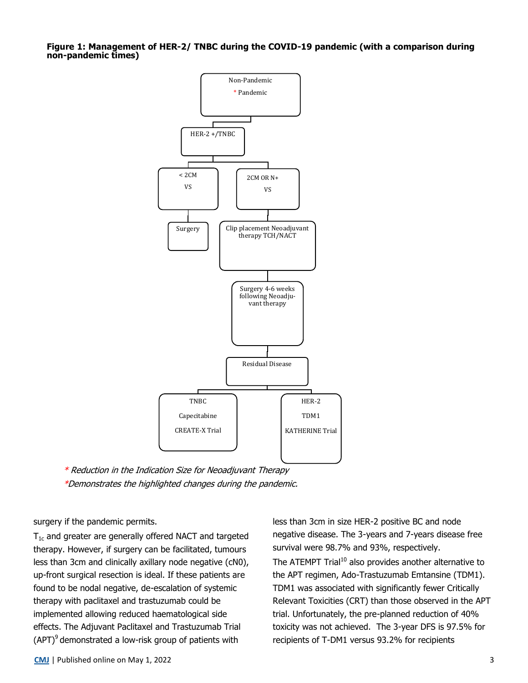**Figure 1: Management of HER-2/ TNBC during the COVID-19 pandemic (with a comparison during non-pandemic times)**



\* Reduction in the Indication Size for Neoadjuvant Therapy \*Demonstrates the highlighted changes during the pandemic.

surgery if the pandemic permits.

 $T_{1c}$  and greater are generally offered NACT and targeted therapy. However, if surgery can be facilitated, tumours less than 3cm and clinically axillary node negative (cN0), up-front surgical resection is ideal. If these patients are found to be nodal negative, de-escalation of systemic therapy with paclitaxel and trastuzumab could be implemented allowing reduced haematological side effects. The Adjuvant Paclitaxel and Trastuzumab Trial  $(APT)^9$  demonstrated a low-risk group of patients with

less than 3cm in size HER-2 positive BC and node negative disease. The 3-years and 7-years disease free survival were 98.7% and 93%, respectively. The ATEMPT Trial<sup>10</sup> also provides another alternative to the APT regimen, Ado-Trastuzumab Emtansine (TDM1). TDM1 was associated with significantly fewer Critically Relevant Toxicities (CRT) than those observed in the APT trial. Unfortunately, the pre-planned reduction of 40% toxicity was not achieved. The 3-year DFS is 97.5% for recipients of T-DM1 versus 93.2% for recipients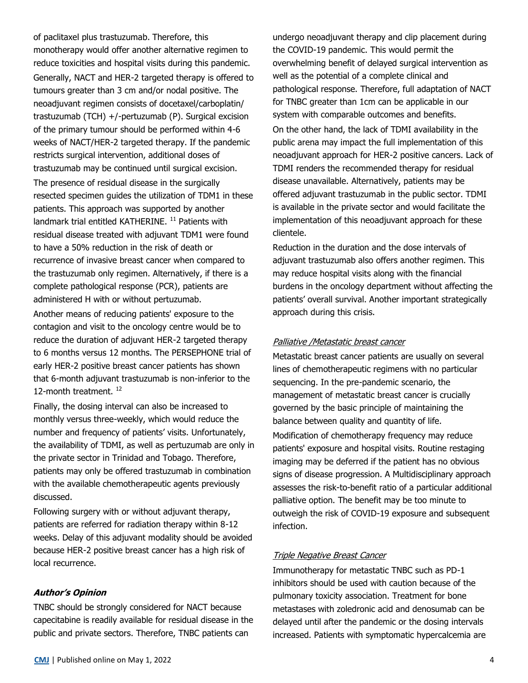of paclitaxel plus trastuzumab. Therefore, this monotherapy would offer another alternative regimen to reduce toxicities and hospital visits during this pandemic. Generally, NACT and HER-2 targeted therapy is offered to tumours greater than 3 cm and/or nodal positive. The neoadjuvant regimen consists of docetaxel/carboplatin/ trastuzumab (TCH) +/-pertuzumab (P). Surgical excision of the primary tumour should be performed within 4-6 weeks of NACT/HER-2 targeted therapy. If the pandemic restricts surgical intervention, additional doses of trastuzumab may be continued until surgical excision. The presence of residual disease in the surgically resected specimen guides the utilization of TDM1 in these patients. This approach was supported by another landmark trial entitled KATHERINE.<sup>11</sup> Patients with residual disease treated with adjuvant TDM1 were found to have a 50% reduction in the risk of death or recurrence of invasive breast cancer when compared to the trastuzumab only regimen. Alternatively, if there is a complete pathological response (PCR), patients are administered H with or without pertuzumab.

Another means of reducing patients' exposure to the contagion and visit to the oncology centre would be to reduce the duration of adjuvant HER-2 targeted therapy to 6 months versus 12 months. The PERSEPHONE trial of early HER-2 positive breast cancer patients has shown that 6-month adjuvant trastuzumab is non-inferior to the 12-month treatment.<sup>12</sup>

Finally, the dosing interval can also be increased to monthly versus three-weekly, which would reduce the number and frequency of patients' visits. Unfortunately, the availability of TDMI, as well as pertuzumab are only in the private sector in Trinidad and Tobago. Therefore, patients may only be offered trastuzumab in combination with the available chemotherapeutic agents previously discussed.

Following surgery with or without adjuvant therapy, patients are referred for radiation therapy within 8-12 weeks. Delay of this adjuvant modality should be avoided because HER-2 positive breast cancer has a high risk of local recurrence.

#### **Author's Opinion**

TNBC should be strongly considered for NACT because capecitabine is readily available for residual disease in the public and private sectors. Therefore, TNBC patients can

undergo neoadjuvant therapy and clip placement during the COVID-19 pandemic. This would permit the overwhelming benefit of delayed surgical intervention as well as the potential of a complete clinical and pathological response. Therefore, full adaptation of NACT for TNBC greater than 1cm can be applicable in our system with comparable outcomes and benefits.

On the other hand, the lack of TDMI availability in the public arena may impact the full implementation of this neoadjuvant approach for HER-2 positive cancers. Lack of TDMI renders the recommended therapy for residual disease unavailable. Alternatively, patients may be offered adjuvant trastuzumab in the public sector. TDMI is available in the private sector and would facilitate the implementation of this neoadjuvant approach for these clientele.

Reduction in the duration and the dose intervals of adjuvant trastuzumab also offers another regimen. This may reduce hospital visits along with the financial burdens in the oncology department without affecting the patients' overall survival. Another important strategically approach during this crisis.

#### Palliative /Metastatic breast cancer

Metastatic breast cancer patients are usually on several lines of chemotherapeutic regimens with no particular sequencing. In the pre-pandemic scenario, the management of metastatic breast cancer is crucially governed by the basic principle of maintaining the balance between quality and quantity of life. Modification of chemotherapy frequency may reduce patients' exposure and hospital visits. Routine restaging imaging may be deferred if the patient has no obvious signs of disease progression. A Multidisciplinary approach assesses the risk-to-benefit ratio of a particular additional palliative option. The benefit may be too minute to outweigh the risk of COVID-19 exposure and subsequent infection.

#### Triple Negative Breast Cancer

Immunotherapy for metastatic TNBC such as PD-1 inhibitors should be used with caution because of the pulmonary toxicity association. Treatment for bone metastases with zoledronic acid and denosumab can be delayed until after the pandemic or the dosing intervals increased. Patients with symptomatic hypercalcemia are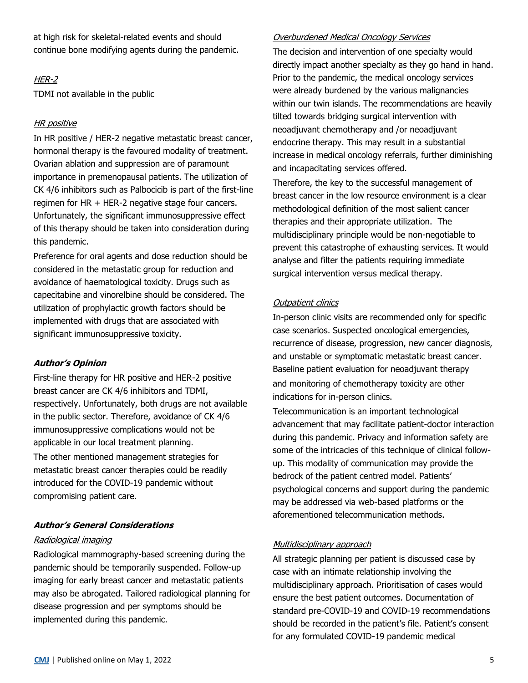at high risk for skeletal-related events and should continue bone modifying agents during the pandemic.

# HER-2

TDMI not available in the public

## **HR** positive

In HR positive / HER-2 negative metastatic breast cancer, hormonal therapy is the favoured modality of treatment. Ovarian ablation and suppression are of paramount importance in premenopausal patients. The utilization of CK 4/6 inhibitors such as Palbocicib is part of the first-line regimen for HR + HER-2 negative stage four cancers. Unfortunately, the significant immunosuppressive effect of this therapy should be taken into consideration during this pandemic.

Preference for oral agents and dose reduction should be considered in the metastatic group for reduction and avoidance of haematological toxicity. Drugs such as capecitabine and vinorelbine should be considered. The utilization of prophylactic growth factors should be implemented with drugs that are associated with significant immunosuppressive toxicity.

#### **Author's Opinion**

First-line therapy for HR positive and HER-2 positive breast cancer are CK 4/6 inhibitors and TDMI, respectively. Unfortunately, both drugs are not available in the public sector. Therefore, avoidance of CK 4/6 immunosuppressive complications would not be applicable in our local treatment planning.

The other mentioned management strategies for metastatic breast cancer therapies could be readily introduced for the COVID-19 pandemic without compromising patient care.

#### **Author's General Considerations**

## Radiological imaging

Radiological mammography-based screening during the pandemic should be temporarily suspended. Follow-up imaging for early breast cancer and metastatic patients may also be abrogated. Tailored radiological planning for disease progression and per symptoms should be implemented during this pandemic.

## Overburdened Medical Oncology Services

The decision and intervention of one specialty would directly impact another specialty as they go hand in hand. Prior to the pandemic, the medical oncology services were already burdened by the various malignancies within our twin islands. The recommendations are heavily tilted towards bridging surgical intervention with neoadjuvant chemotherapy and /or neoadjuvant endocrine therapy. This may result in a substantial increase in medical oncology referrals, further diminishing and incapacitating services offered.

Therefore, the key to the successful management of breast cancer in the low resource environment is a clear methodological definition of the most salient cancer therapies and their appropriate utilization. The multidisciplinary principle would be non-negotiable to prevent this catastrophe of exhausting services. It would analyse and filter the patients requiring immediate surgical intervention versus medical therapy.

#### **Outpatient clinics**

In-person clinic visits are recommended only for specific case scenarios. Suspected oncological emergencies, recurrence of disease, progression, new cancer diagnosis, and unstable or symptomatic metastatic breast cancer. Baseline patient evaluation for neoadjuvant therapy and monitoring of chemotherapy toxicity are other indications for in-person clinics.

Telecommunication is an important technological advancement that may facilitate patient-doctor interaction during this pandemic. Privacy and information safety are some of the intricacies of this technique of clinical followup. This modality of communication may provide the bedrock of the patient centred model. Patients' psychological concerns and support during the pandemic may be addressed via web-based platforms or the aforementioned telecommunication methods.

#### Multidisciplinary approach

All strategic planning per patient is discussed case by case with an intimate relationship involving the multidisciplinary approach. Prioritisation of cases would ensure the best patient outcomes. Documentation of standard pre-COVID-19 and COVID-19 recommendations should be recorded in the patient's file. Patient's consent for any formulated COVID-19 pandemic medical